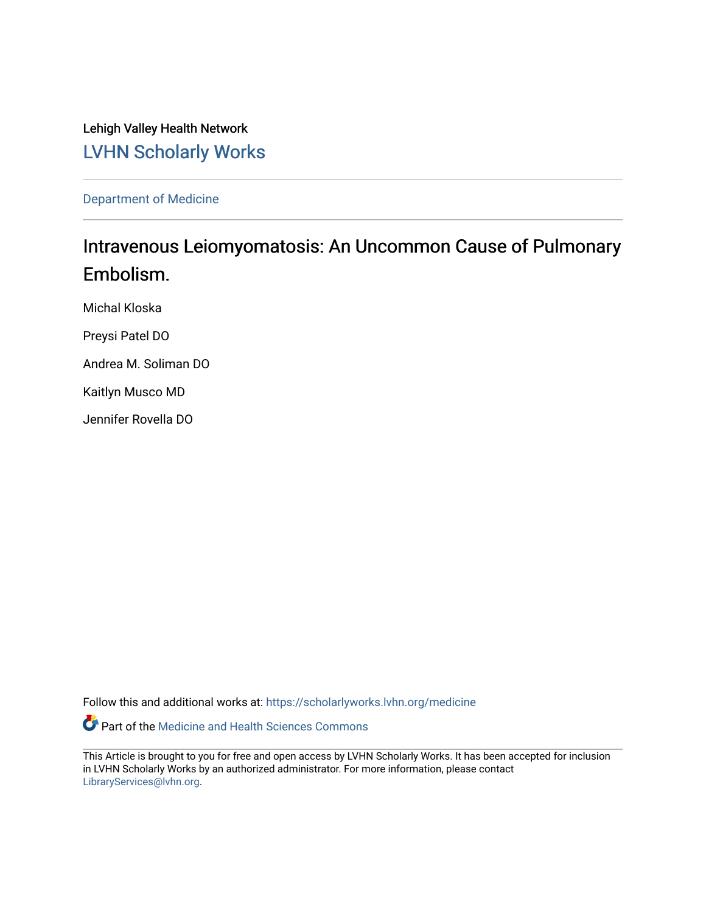Lehigh Valley Health Network [LVHN Scholarly Works](https://scholarlyworks.lvhn.org/)

[Department of Medicine](https://scholarlyworks.lvhn.org/medicine) 

# Intravenous Leiomyomatosis: An Uncommon Cause of Pulmonary Embolism.

Michal Kloska

Preysi Patel DO

Andrea M. Soliman DO

Kaitlyn Musco MD

Jennifer Rovella DO

Follow this and additional works at: [https://scholarlyworks.lvhn.org/medicine](https://scholarlyworks.lvhn.org/medicine?utm_source=scholarlyworks.lvhn.org%2Fmedicine%2F1895&utm_medium=PDF&utm_campaign=PDFCoverPages) 

Part of the [Medicine and Health Sciences Commons](http://network.bepress.com/hgg/discipline/648?utm_source=scholarlyworks.lvhn.org%2Fmedicine%2F1895&utm_medium=PDF&utm_campaign=PDFCoverPages) 

This Article is brought to you for free and open access by LVHN Scholarly Works. It has been accepted for inclusion in LVHN Scholarly Works by an authorized administrator. For more information, please contact [LibraryServices@lvhn.org](mailto:LibraryServices@lvhn.org).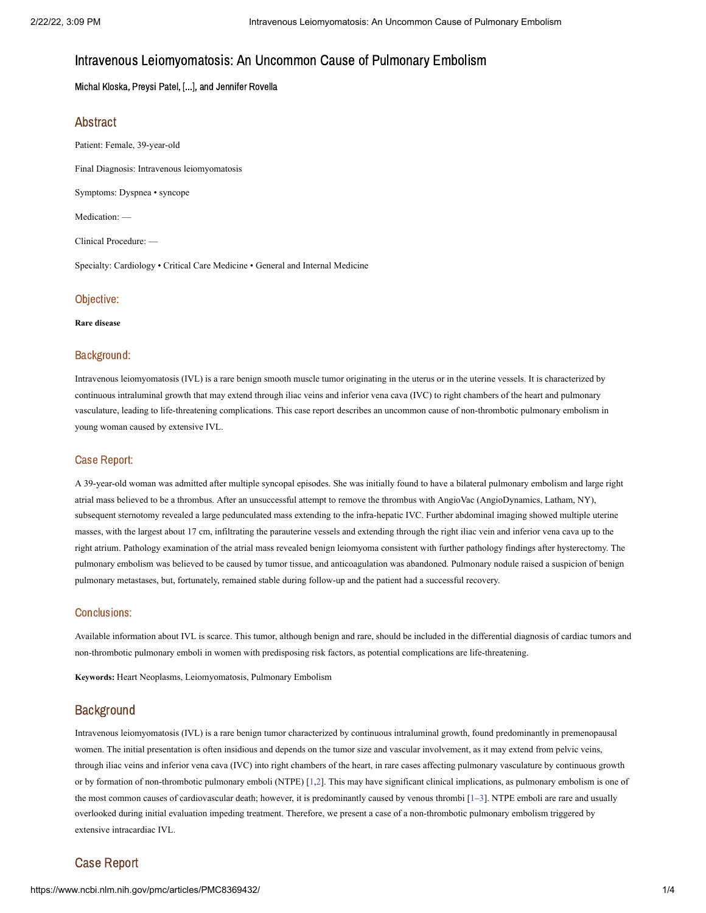# Intravenous Leiomyomatosis: An Uncommon Cause of Pulmonary Embolism

Michal Kloska, Preysi Patel, [...], and Jennifer Rovella

## Abstract

Patient: Female, 39-year-old Final Diagnosis: Intravenous leiomyomatosis Symptoms: Dyspnea • syncope

Medication: —

Clinical Procedure: —

Specialty: Cardiology • Critical Care Medicine • General and Internal Medicine

### Objective:

#### **Rare disease**

#### Background:

Intravenous leiomyomatosis (IVL) is a rare benign smooth muscle tumor originating in the uterus or in the uterine vessels. It is characterized by continuous intraluminal growth that may extend through iliac veins and inferior vena cava (IVC) to right chambers of the heart and pulmonary vasculature, leading to life-threatening complications. This case report describes an uncommon cause of non-thrombotic pulmonary embolism in young woman caused by extensive IVL.

#### Case Report:

A 39-year-old woman was admitted after multiple syncopal episodes. She was initially found to have a bilateral pulmonary embolism and large right atrial mass believed to be a thrombus. After an unsuccessful attempt to remove the thrombus with AngioVac (AngioDynamics, Latham, NY), subsequent sternotomy revealed a large pedunculated mass extending to the infra-hepatic IVC. Further abdominal imaging showed multiple uterine masses, with the largest about 17 cm, infiltrating the parauterine vessels and extending through the right iliac vein and inferior vena cava up to the right atrium. Pathology examination of the atrial mass revealed benign leiomyoma consistent with further pathology findings after hysterectomy. The pulmonary embolism was believed to be caused by tumor tissue, and anticoagulation was abandoned. Pulmonary nodule raised a suspicion of benign pulmonary metastases, but, fortunately, remained stable during follow-up and the patient had a successful recovery.

#### Conclusions:

Available information about IVL is scarce. This tumor, although benign and rare, should be included in the differential diagnosis of cardiac tumors and non-thrombotic pulmonary emboli in women with predisposing risk factors, as potential complications are life-threatening.

**Keywords:** Heart Neoplasms, Leiomyomatosis, Pulmonary Embolism

# **Background**

Intravenous leiomyomatosis (IVL) is a rare benign tumor characterized by continuous intraluminal growth, found predominantly in premenopausal women. The initial presentation is often insidious and depends on the tumor size and vascular involvement, as it may extend from pelvic veins, through iliac veins and inferior vena cava (IVC) into right chambers of the heart, in rare cases affecting pulmonary vasculature by continuous growth or by formation of non-thrombotic pulmonary emboli (NTPE) [\[1,](#page-4-0)[2](#page-4-1)]. This may have significant clinical implications, as pulmonary embolism is one of the most common causes of cardiovascular death; however, it is predominantly caused by venous thrombi [1-[3\]](#page-4-2). NTPE emboli are rare and usually overlooked during initial evaluation impeding treatment. Therefore, we present a case of a non-thrombotic pulmonary embolism triggered by extensive intracardiac IVL.

## Case Report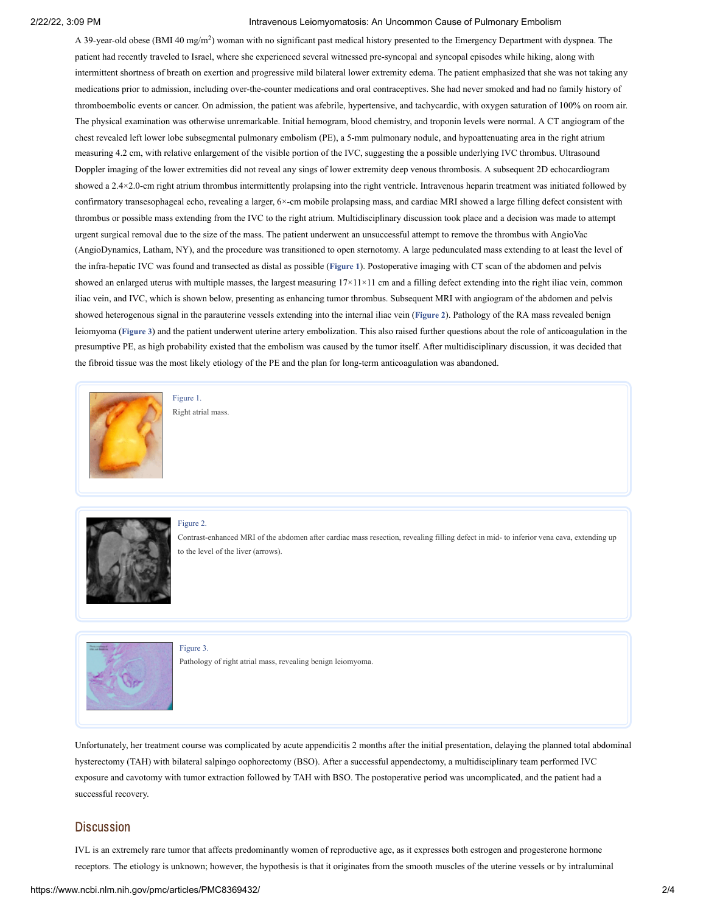#### 2/22/22, 3:09 PM Intravenous Leiomyomatosis: An Uncommon Cause of Pulmonary Embolism

A 39-year-old obese (BMI 40 mg/m<sup>2</sup>) woman with no significant past medical history presented to the Emergency Department with dyspnea. The patient had recently traveled to Israel, where she experienced several witnessed pre-syncopal and syncopal episodes while hiking, along with intermittent shortness of breath on exertion and progressive mild bilateral lower extremity edema. The patient emphasized that she was not taking any medications prior to admission, including over-the-counter medications and oral contraceptives. She had never smoked and had no family history of thromboembolic events or cancer. On admission, the patient was afebrile, hypertensive, and tachycardic, with oxygen saturation of 100% on room air. The physical examination was otherwise unremarkable. Initial hemogram, blood chemistry, and troponin levels were normal. A CT angiogram of the chest revealed left lower lobe subsegmental pulmonary embolism (PE), a 5-mm pulmonary nodule, and hypoattenuating area in the right atrium measuring 4.2 cm, with relative enlargement of the visible portion of the IVC, suggesting the a possible underlying IVC thrombus. Ultrasound Doppler imaging of the lower extremities did not reveal any sings of lower extremity deep venous thrombosis. A subsequent 2D echocardiogram showed a 2.4×2.0-cm right atrium thrombus intermittently prolapsing into the right ventricle. Intravenous heparin treatment was initiated followed by confirmatory transesophageal echo, revealing a larger, 6×-cm mobile prolapsing mass, and cardiac MRI showed a large filling defect consistent with thrombus or possible mass extending from the IVC to the right atrium. Multidisciplinary discussion took place and a decision was made to attempt urgent surgical removal due to the size of the mass. The patient underwent an unsuccessful attempt to remove the thrombus with AngioVac (AngioDynamics, Latham, NY), and the procedure was transitioned to open sternotomy. A large pedunculated mass extending to at least the level of the infra-hepatic IVC was found and transected as distal as possible (**[Figure](https://www.ncbi.nlm.nih.gov/pmc/articles/PMC8369432/figure/f1-amjcaserep-22-e931386/?report=objectonly) 1**). Postoperative imaging with CT scan of the abdomen and pelvis showed an enlarged uterus with multiple masses, the largest measuring  $17\times11\times11$  cm and a filling defect extending into the right iliac vein, common iliac vein, and IVC, which is shown below, presenting as enhancing tumor thrombus. Subsequent MRI with angiogram of the abdomen and pelvis showed heterogenous signal in the parauterine vessels extending into the internal iliac vein (**[Figure](https://www.ncbi.nlm.nih.gov/pmc/articles/PMC8369432/figure/f2-amjcaserep-22-e931386/?report=objectonly) 2**). Pathology of the RA mass revealed benign leiomyoma (**[Figure](https://www.ncbi.nlm.nih.gov/pmc/articles/PMC8369432/figure/f3-amjcaserep-22-e931386/?report=objectonly) 3**) and the patient underwent uterine artery embolization. This also raised further questions about the role of anticoagulation in the presumptive PE, as high probability existed that the embolism was caused by the tumor itself. After multidisciplinary discussion, it was decided that the fibroid tissue was the most likely etiology of the PE and the plan for long-term anticoagulation was abandoned.



[Figure](https://www.ncbi.nlm.nih.gov/pmc/articles/PMC8369432/figure/f1-amjcaserep-22-e931386/?report=objectonly) 1. Right atrial mass.



[Figure](https://www.ncbi.nlm.nih.gov/pmc/articles/PMC8369432/figure/f2-amjcaserep-22-e931386/?report=objectonly) 2.

Contrast-enhanced MRI of the abdomen after cardiac mass resection, revealing filling defect in mid- to inferior vena cava, extending up to the level of the liver (arrows).



[Figure](https://www.ncbi.nlm.nih.gov/pmc/articles/PMC8369432/figure/f3-amjcaserep-22-e931386/?report=objectonly) 3.

Pathology of right atrial mass, revealing benign leiomyoma.

Unfortunately, her treatment course was complicated by acute appendicitis 2 months after the initial presentation, delaying the planned total abdominal hysterectomy (TAH) with bilateral salpingo oophorectomy (BSO). After a successful appendectomy, a multidisciplinary team performed IVC exposure and cavotomy with tumor extraction followed by TAH with BSO. The postoperative period was uncomplicated, and the patient had a successful recovery.

## **Discussion**

IVL is an extremely rare tumor that affects predominantly women of reproductive age, as it expresses both estrogen and progesterone hormone receptors. The etiology is unknown; however, the hypothesis is that it originates from the smooth muscles of the uterine vessels or by intraluminal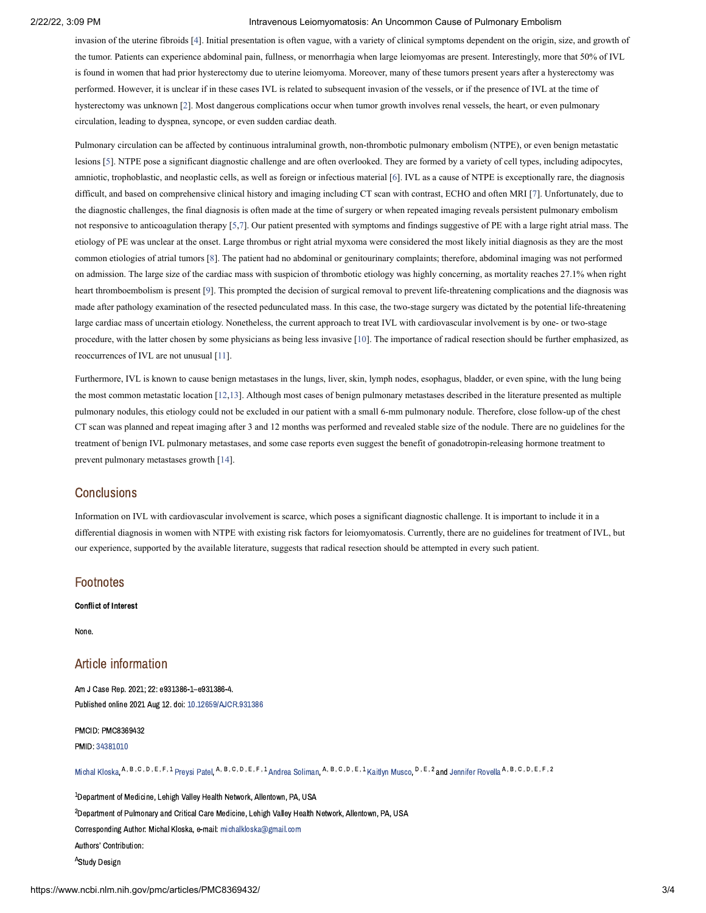#### 2/22/22, 3:09 PM Intravenous Leiomyomatosis: An Uncommon Cause of Pulmonary Embolism

invasion of the uterine fibroids [\[4](#page-4-3)]. Initial presentation is often vague, with a variety of clinical symptoms dependent on the origin, size, and growth of the tumor. Patients can experience abdominal pain, fullness, or menorrhagia when large leiomyomas are present. Interestingly, more that 50% of IVL is found in women that had prior hysterectomy due to uterine leiomyoma. Moreover, many of these tumors present years after a hysterectomy was performed. However, it is unclear if in these cases IVL is related to subsequent invasion of the vessels, or if the presence of IVL at the time of hysterectomy was unknown [[2\]](#page-4-1). Most dangerous complications occur when tumor growth involves renal vessels, the heart, or even pulmonary circulation, leading to dyspnea, syncope, or even sudden cardiac death.

Pulmonary circulation can be affected by continuous intraluminal growth, non-thrombotic pulmonary embolism (NTPE), or even benign metastatic lesions [[5\]](#page-4-4). NTPE pose a significant diagnostic challenge and are often overlooked. They are formed by a variety of cell types, including adipocytes, amniotic, trophoblastic, and neoplastic cells, as well as foreign or infectious material [\[6\]](#page-4-5). IVL as a cause of NTPE is exceptionally rare, the diagnosis difficult, and based on comprehensive clinical history and imaging including CT scan with contrast, ECHO and often MRI [[7\]](#page-4-6). Unfortunately, due to the diagnostic challenges, the final diagnosis is often made at the time of surgery or when repeated imaging reveals persistent pulmonary embolism not responsive to anticoagulation therapy [[5](#page-4-4),[7](#page-4-6)]. Our patient presented with symptoms and findings suggestive of PE with a large right atrial mass. The etiology of PE was unclear at the onset. Large thrombus or right atrial myxoma were considered the most likely initial diagnosis as they are the most common etiologies of atrial tumors [\[8](#page-4-7)]. The patient had no abdominal or genitourinary complaints; therefore, abdominal imaging was not performed on admission. The large size of the cardiac mass with suspicion of thrombotic etiology was highly concerning, as mortality reaches 27.1% when right heart thromboembolism is present [[9\]](#page-4-8). This prompted the decision of surgical removal to prevent life-threatening complications and the diagnosis was made after pathology examination of the resected pedunculated mass. In this case, the two-stage surgery was dictated by the potential life-threatening large cardiac mass of uncertain etiology. Nonetheless, the current approach to treat IVL with cardiovascular involvement is by one- or two-stage procedure, with the latter chosen by some physicians as being less invasive [[10\]](#page-4-9). The importance of radical resection should be further emphasized, as reoccurrences of IVL are not unusual [[11](#page-4-10)].

Furthermore, IVL is known to cause benign metastases in the lungs, liver, skin, lymph nodes, esophagus, bladder, or even spine, with the lung being the most common metastatic location [\[12](#page-4-11)[,13](#page-4-12)]. Although most cases of benign pulmonary metastases described in the literature presented as multiple pulmonary nodules, this etiology could not be excluded in our patient with a small 6-mm pulmonary nodule. Therefore, close follow-up of the chest CT scan was planned and repeat imaging after 3 and 12 months was performed and revealed stable size of the nodule. There are no guidelines for the treatment of benign IVL pulmonary metastases, and some case reports even suggest the benefit of gonadotropin-releasing hormone treatment to prevent pulmonary metastases growth [\[14](#page-4-13)].

### **Conclusions**

Information on IVL with cardiovascular involvement is scarce, which poses a significant diagnostic challenge. It is important to include it in a differential diagnosis in women with NTPE with existing risk factors for leiomyomatosis. Currently, there are no guidelines for treatment of IVL, but our experience, supported by the available literature, suggests that radical resection should be attempted in every such patient.

#### **Footnotes**

#### Conflict of Interest

None.

# Article information

Am J Case Rep. 2021; 22: e931386-1–e931386-4. Published online 2021 Aug 12. doi: [10.12659/AJCR.931386](https://dx.doi.org/10.12659%2FAJCR.931386)

PMCID: PMC8369432 PMID: [34381010](https://www.ncbi.nlm.nih.gov/pubmed/34381010)

Michal [Kloska](https://www.ncbi.nlm.nih.gov/pubmed/?term=Kloska%20M%5BAuthor%5D&cauthor=true&cauthor_uid=34381010), <sup>A, B, C, D, E, F, 1</sup> [Preysi](https://www.ncbi.nlm.nih.gov/pubmed/?term=Patel%20P%5BAuthor%5D&cauthor=true&cauthor_uid=34381010) Patel, <sup>A, B, C, D, E, F, 1</sup> Andrea [Soliman](https://www.ncbi.nlm.nih.gov/pubmed/?term=Soliman%20A%5BAuthor%5D&cauthor=true&cauthor_uid=34381010), <sup>A, B, C, D, E, 1 [Kaitlyn](https://www.ncbi.nlm.nih.gov/pubmed/?term=Musco%20K%5BAuthor%5D&cauthor=true&cauthor_uid=34381010) Musco, <sup>D, E, 2</sup> and [Jennifer](https://www.ncbi.nlm.nih.gov/pubmed/?term=Rovella%20J%5BAuthor%5D&cauthor=true&cauthor_uid=34381010) Royella <sup>A, B, C, D, E, F, 2</sup></sup>

 $^{\rm 1}$ Department of Medicine, Lehigh Valley Health Network, Allentown, PA, USA  $^2$ Department of Pulmonary and Critical Care Medicine, Lehigh Valley Health Network, Allentown, PA, USA Corresponding Author: Michal Kloska, e-mail: [michalkloska@gmail.com](mailto:dev@null) Authors' Contribution: <sup>A</sup>Study Design